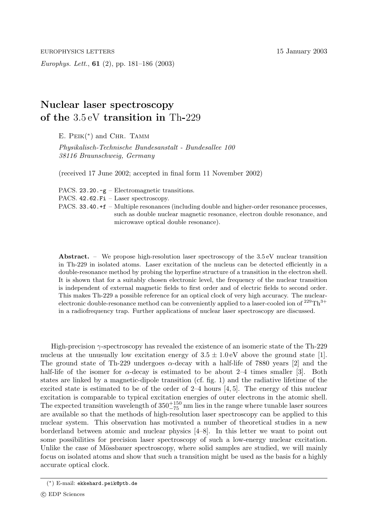EUROPHYSICS LETTERS 15 January 2003

*Europhys. Lett.*, **61** (2), pp. 181–186 (2003)

## **Nuclear laser spectroscopy of the** 3.5 eV **transition in** Th**-**229

E.  $PEIK(*)$  and CHR. TAMM

*Physikalisch-Technische Bundesanstalt - Bundesallee 100 38116 Braunschweig, Germany*

(received 17 June 2002; accepted in final form11 November 2002)

PACS. 23.20.-g – Electromagnetic transitions.

PACS. 42.62.Fi – Laser spectroscopy.

PACS. 33.40.+f – Multiple resonances (including double and higher-order resonance processes, such as double nuclear magnetic resonance, electron double resonance, and microwave optical double resonance).

Abstract. – We propose high-resolution laser spectroscopy of the 3.5 eV nuclear transition in Th-229 in isolated atoms. Laser excitation of the nucleus can be detected efficiently in a double-resonance method by probing the hyperfine structure of a transition in the electron shell. It is shown that for a suitably chosen electronic level, the frequency of the nuclear transition is independent of external magnetic fields to first order and of electric fields to second order. This makes Th-229 a possible reference for an optical clock of very high accuracy. The nuclearelectronic double-resonance method can be conveniently applied to a laser-cooled ion of  $^{229}\text{Th}^{3+}$ in a radiofrequency trap. Further applications of nuclear laser spectroscopy are discussed.

High-precision  $\gamma$ -spectroscopy has revealed the existence of an isomeric state of the Th-229 nucleus at the unusually low excitation energy of  $3.5 \pm 1.0 \text{ eV}$  above the ground state [1]. The ground state of Th-229 undergoes  $\alpha$ -decay with a half-life of 7880 years [2] and the half-life of the isomer for  $\alpha$ -decay is estimated to be about 2–4 times smaller [3]. Both states are linked by a magnetic-dipole transition (cf. fig. 1) and the radiative lifetime of the excited state is estimated to be of the order of  $2-4$  hours  $[4, 5]$ . The energy of this nuclear excitation is comparable to typical excitation energies of outer electrons in the atomic shell. The expected transition wavelength of  $350^{+150}_{-75}$  nm lies in the range where tunable laser sources are available so that the methods of high-resolution laser spectroscopy can be applied to this nuclear system. This observation has motivated a number of theoretical studies in a new borderland between atomic and nuclear physics [4–8]. In this letter we want to point out some possibilities for precision laser spectroscopy of such a low-energy nuclear excitation. Unlike the case of Mössbauer spectroscopy, where solid samples are studied, we will mainly focus on isolated atoms and show that such a transition might be used as the basis for a highly accurate optical clock.

<sup>(</sup>∗) E-mail: ekkehard.peik@ptb.de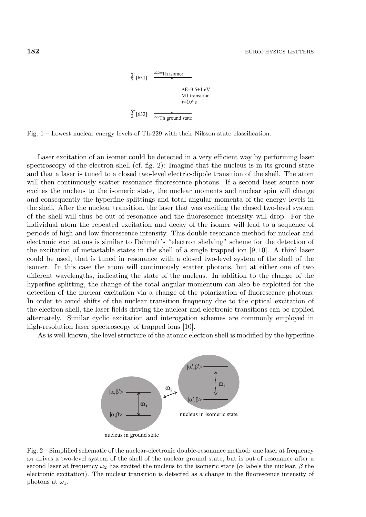

Fig. 1 – Lowest nuclear energy levels of Th-229 with their Nilsson state classification.

Laser excitation of an isomer could be detected in a very efficient way by performing laser spectroscopy of the electron shell (cf. fig. 2): Imagine that the nucleus is in its ground state and that a laser is tuned to a closed two-level electric-dipole transition of the shell. The atom will then continuously scatter resonance fluorescence photons. If a second laser source now excites the nucleus to the isomeric state, the nuclear moments and nuclear spin will change and consequently the hyperfine splittings and total angular momenta of the energy levels in the shell. After the nuclear transition, the laser that was exciting the closed two-level system of the shell will thus be out of resonance and the fluorescence intensity will drop. For the individual atom the repeated excitation and decay of the isomer will lead to a sequence of periods of high and low fluorescence intensity. This double-resonance method for nuclear and electronic excitations is similar to Dehmelt's "electron shelving" scheme for the detection of the excitation of metastable states in the shell of a single trapped ion [9, 10]. A third laser could be used, that is tuned in resonance with a closed two-level systemof the shell of the isomer. In this case the atom will continuously scatter photons, but at either one of two different wavelengths, indicating the state of the nucleus. In addition to the change of the hyperfine splitting, the change of the total angular momentum can also be exploited for the detection of the nuclear excitation via a change of the polarization of fluorescence photons. In order to avoid shifts of the nuclear transition frequency due to the optical excitation of the electron shell, the laser fields driving the nuclear and electronic transitions can be applied alternately. Similar cyclic excitation and interogation schemes are commonly employed in high-resolution laser spectroscopy of trapped ions [10].

As is well known, the level structure of the atomic electron shell is modified by the hyperfine



Fig. 2 – Simplified schematic of the nuclear-electronic double-resonance method: one laser at frequency  $\omega_1$  drives a two-level system of the shell of the nuclear ground state, but is out of resonance after a second laser at frequency  $\omega_2$  has excited the nucleus to the isomeric state ( $\alpha$  labels the nuclear,  $\beta$  the electronic excitation). The nuclear transition is detected as a change in the fluorescence intensity of photons at  $\omega_1$ .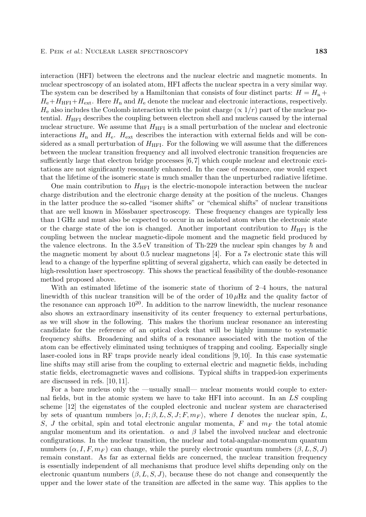interaction (HFI) between the electrons and the nuclear electric and magnetic moments. In nuclear spectroscopy of an isolated atom, HFI affects the nuclear spectra in a very similar way. The system can be described by a Hamiltonian that consists of four distinct parts:  $H = H_n +$  $H_e+H_{\text{HFI}}+H_{\text{ext}}$ . Here  $H_{\text{n}}$  and  $H_{\text{e}}$  denote the nuclear and electronic interactions, respectively.  $H_e$  also includes the Coulomb interaction with the point charge ( $\propto 1/r$ ) part of the nuclear potential.  $H<sub>HFI</sub>$  describes the coupling between electron shell and nucleus caused by the internal nuclear structure. We assume that  $H<sub>HFI</sub>$  is a small perturbation of the nuclear and electronic interactions  $H_n$  and  $H_e$ . H<sub>ext</sub> describes the interaction with external fields and will be considered as a small perturbation of  $H_{\text{HFI}}$ . For the following we will assume that the differences between the nuclear transition frequency and all involved electronic transition frequencies are sufficiently large that electron bridge processes [6,7] which couple nuclear and electronic excitations are not significantly resonantly enhanced. In the case of resonance, one would expect that the lifetime of the isomeric state is much smaller than the unperturbed radiative lifetime.

One main contribution to  $H<sub>HFI</sub>$  is the electric-monopole interaction between the nuclear charge distribution and the electronic charge density at the position of the nucleus. Changes in the latter produce the so-called "isomer shifts" or "chemical shifts" of nuclear transitions that are well known in Mössbauer spectroscopy. These frequency changes are typically less than 1 GHz and must also be expected to occur in an isolated atom when the electronic state or the charge state of the ion is changed. Another important contribution to  $H<sub>HFI</sub>$  is the coupling between the nuclear magnetic-dipole moment and the magnetic field produced by the valence electrons. In the 3.5 eV transition of Th-229 the nuclear spin changes by  $\hbar$  and the magnetic moment by about 0.5 nuclear magnetons [4]. For a 7s electronic state this will lead to a change of the hyperfine splitting of several gigahertz, which can easily be detected in high-resolution laser spectroscopy. This shows the practical feasibility of the double-resonance method proposed above.

With an estimated lifetime of the isomeric state of thorium of 2–4 hours, the natural linewidth of this nuclear transition will be of the order of  $10 \mu$ Hz and the quality factor of the resonance can approach  $10^{20}$ . In addition to the narrow linewidth, the nuclear resonance also shows an extraordinary insensitivity of its center frequency to external perturbations, as we will show in the following. This makes the thorium nuclear resonance an interesting candidate for the reference of an optical clock that will be highly immune to systematic frequency shifts. Broadening and shifts of a resonance associated with the motion of the atomcan be effectively eliminated using techniques of trapping and cooling. Especially single laser-cooled ions in RF traps provide nearly ideal conditions [9, 10]. In this case systematic line shifts may still arise from the coupling to external electric and magnetic fields, including static fields, electromagnetic waves and collisions. Typical shifts in trapped-ion experiments are discussed in refs. [10, 11].

For a bare nucleus only the —usually small— nuclear moments would couple to external fields, but in the atomic system we have to take HFI into account. In an LS coupling scheme [12] the eigenstates of the coupled electronic and nuclear system are characterised by sets of quantum numbers  $(\alpha, I; \beta, L, S, J; F, m_F)$ , where I denotes the nuclear spin, L, S, J the orbital, spin and total electronic angular momenta, F and m*<sup>F</sup>* the total atomic angular momentum and its orientation.  $\alpha$  and  $\beta$  label the involved nuclear and electronic configurations. In the nuclear transition, the nuclear and total-angular-momentum quantum numbers  $(\alpha, I, F, m_F)$  can change, while the purely electronic quantum numbers  $(\beta, L, S, J)$ remain constant. As far as external fields are concerned, the nuclear transition frequency is essentially independent of all mechanisms that produce level shifts depending only on the electronic quantum numbers  $(\beta, L, S, J)$ , because these do not change and consequently the upper and the lower state of the transition are affected in the same way. This applies to the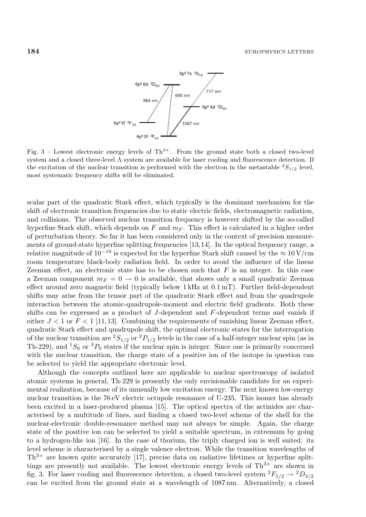

Fig.  $3$  – Lowest electronic energy levels of Th<sup>3+</sup>. From the ground state both a closed two-level system and a closed three-level  $\Lambda$  system are available for laser cooling and fluorescence detection. If the excitation of the nuclear transition is performed with the electron in the metastable  ${}^{2}S_{1/2}$  level, most systematic frequency shifts will be eliminated.

scalar part of the quadratic Stark effect, which typically is the dominant mechanism for the shift of electronic transition frequencies due to static electric fields, electromagnetic radiation, and collisions. The observed nuclear transition frequency is however shifted by the so-called hyperfine Stark shift, which depends on  $F$  and  $m_F$ . This effect is calculated in a higher order of perturbation theory. So far it has been considered only in the context of precision measurements of ground-state hyperfine splitting frequencies [13,14]. In the optical frequency range, a relative magnitude of  $10^{-19}$  is expected for the hyperfine Stark shift caused by the  $\approx 10 \,\mathrm{V/cm}$ roomtemperature black-body radiation field. In order to avoid the influence of the linear Zeeman effect, an electronic state has to be chosen such that  $F$  is an integer. In this case a Zeeman component  $m_F = 0 \rightarrow 0$  is available, that shows only a small quadratic Zeeman effect around zero magnetic field (typically below 1 kHz at 0.1 mT). Further field-dependent shifts may arise from the tensor part of the quadratic Stark effect and from the quadrupole interaction between the atomic-quadrupole-moment and electric field gradients. Both these shifts can be expressed as a product of  $J$ -dependent and  $F$ -dependent terms and vanish if either  $J < 1$  or  $F < 1$  [11, 13]. Combining the requirements of vanishing linear Zeeman effect, quadratic Stark effect and quadrupole shift, the optimal electronic states for the interrogation of the nuclear transition are  ${}^{2}S_{1/2}$  or  ${}^{2}P_{1/2}$  levels in the case of a half-integer nuclear spin (as in Th-229), and  ${}^{1}S_{0}$  or  ${}^{3}P_{0}$  states if the nuclear spin is integer. Since one is primarily concerned with the nuclear transition, the charge state of a positive ion of the isotope in question can be selected to yield the appropriate electronic level.

Although the concepts outlined here are applicable to nuclear spectroscopy of isolated atomic systems in general, Th-229 is presently the only envisionable candidate for an experimental realization, because of its unusually low excitation energy. The next known low-energy nuclear transition is the 76 eV electric octupole resonance of U-235. This isomer has already been excited in a laser-produced plasma [15]. The optical spectra of the actinides are characterised by a multitude of lines, and finding a closed two-level scheme of the shell for the nuclear-electronic double-resonance method may not always be simple. Again, the charge state of the positive ion can be selected to yield a suitable spectrum, in extremum by going to a hydrogen-like ion [16]. In the case of thorium, the triply charged ion is well suited: its level scheme is characterised by a single valence electron. While the transition wavelengths of  $Th^{3+}$  are known quite accurately [17], precise data on radiative lifetimes or hyperfine splittings are presently not available. The lowest electronic energy levels of  $Th^{3+}$  are shown in fig. 3. For laser cooling and fluorescence detection, a closed two-level system  ${}^2F_{5/2} \rightarrow {}^2D_{3/2}$ can be excited fromthe ground state at a wavelength of 1087 nm. Alternatively, a closed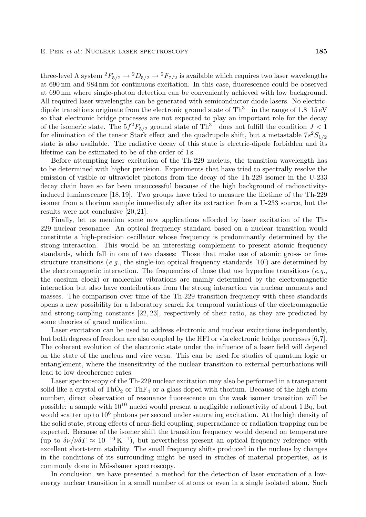three-level  $\Lambda$  system  ${}^2F_{5/2} \rightarrow {}^2D_{5/2} \rightarrow {}^2F_{7/2}$  is available which requires two laser wavelengths at 690 nmand 984 nmfor continuous excitation. In this case, fluorescence could be observed at 690 nmwhere single-photon detection can be conveniently achieved with low background. All required laser wavelengths can be generated with semiconductor diode lasers. No electricdipole transitions originate from the electronic ground state of  $Th^{3+}$  in the range of 1.8–15 eV so that electronic bridge processes are not expected to play an important role for the decay of the isomeric state. The  $5f^2F_{5/2}$  ground state of Th<sup>3+</sup> does not fulfill the condition  $J < 1$ for elimination of the tensor Stark effect and the quadrupole shift, but a metastable  $7s^2S_{1/2}$ state is also available. The radiative decay of this state is electric-dipole forbidden and its lifetime can be estimated to be of the order of 1 s.

Before attempting laser excitation of the Th-229 nucleus, the transition wavelength has to be determined with higher precision. Experiments that have tried to spectrally resolve the emission of visible or ultraviolet photons from the decay of the Th-229 isomer in the U-233 decay chain have so far been unsuccessful because of the high background of radioactivityinduced luminescence [18, 19]. Two groups have tried to measure the lifetime of the Th-229 isomer from a thorium sample immediately after its extraction from a U-233 source, but the results were not conclusive [20, 21].

Finally, let us mention some new applications afforded by laser excitation of the Th-229 nuclear resonance: An optical frequency standard based on a nuclear transition would constitute a high-precision oscillator whose frequency is predominantly determined by the strong interaction. This would be an interesting complement to present atomic frequency standards, which fall in one of two classes: Those that make use of atomic gross- or finestructure transitions (*e.g.*, the single-ion optical frequency standards [10]) are determined by the electromagnetic interaction. The frequencies of those that use hyperfine transitions (*e.g.*, the caesium clock) or molecular vibrations are mainly determined by the electromagnetic interaction but also have contributions from the strong interaction via nuclear moments and masses. The comparison over time of the Th-229 transition frequency with these standards opens a new possibility for a laboratory search for temporal variations of the electromagnetic and strong-coupling constants [22, 23], respectively of their ratio, as they are predicted by some theories of grand unification.

Laser excitation can be used to address electronic and nuclear excitations independently, but both degrees of freedomare also coupled by the HFI or via electronic bridge processes [6,7]. The coherent evolution of the electronic state under the influence of a laser field will depend on the state of the nucleus and vice versa. This can be used for studies of quantumlogic or entanglement, where the insensitivity of the nuclear transition to external perturbations will lead to low decoherence rates.

Laser spectroscopy of the Th-229 nuclear excitation may also be performed in a transparent solid like a crystal of ThO<sub>2</sub> or ThF<sub>4</sub> or a glass doped with thorium. Because of the high atom number, direct observation of resonance fluorescence on the weak isomer transition will be possible: a sample with  $10^{10}$  nuclei would present a negligible radioactivity of about 1 Bq, but would scatter up to  $10^6$  photons per second under saturating excitation. At the high density of the solid state, strong effects of near-field coupling, superradiance or radiation trapping can be expected. Because of the isomer shift the transition frequency would depend on temperature (up to  $\delta \nu / \nu \delta T \approx 10^{-10} \text{ K}^{-1}$ ), but nevertheless present an optical frequency reference with excellent short-term stability. The small frequency shifts produced in the nucleus by changes in the conditions of its surrounding might be used in studies of material properties, as is commonly done in Mössbauer spectroscopy.

In conclusion, we have presented a method for the detection of laser excitation of a lowenergy nuclear transition in a small number of atoms or even in a single isolated atom. Such